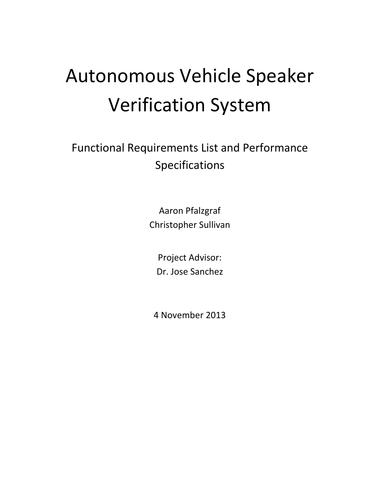# Autonomous Vehicle Speaker Verification System

Functional Requirements List and Performance Specifications

> Aaron Pfalzgraf Christopher Sullivan

Project Advisor: Dr. Jose Sanchez

4 November 2013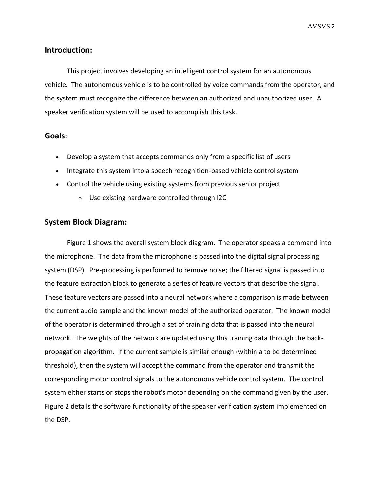#### **Introduction:**

This project involves developing an intelligent control system for an autonomous vehicle. The autonomous vehicle is to be controlled by voice commands from the operator, and the system must recognize the difference between an authorized and unauthorized user. A speaker verification system will be used to accomplish this task.

#### **Goals:**

- Develop a system that accepts commands only from a specific list of users
- Integrate this system into a speech recognition-based vehicle control system
- Control the vehicle using existing systems from previous senior project
	- o Use existing hardware controlled through I2C

#### **System Block Diagram:**

Figure 1 shows the overall system block diagram. The operator speaks a command into the microphone. The data from the microphone is passed into the digital signal processing system (DSP). Pre-processing is performed to remove noise; the filtered signal is passed into the feature extraction block to generate a series of feature vectors that describe the signal. These feature vectors are passed into a neural network where a comparison is made between the current audio sample and the known model of the authorized operator. The known model of the operator is determined through a set of training data that is passed into the neural network. The weights of the network are updated using this training data through the backpropagation algorithm. If the current sample is similar enough (within a to be determined threshold), then the system will accept the command from the operator and transmit the corresponding motor control signals to the autonomous vehicle control system. The control system either starts or stops the robot's motor depending on the command given by the user. Figure 2 details the software functionality of the speaker verification system implemented on the DSP.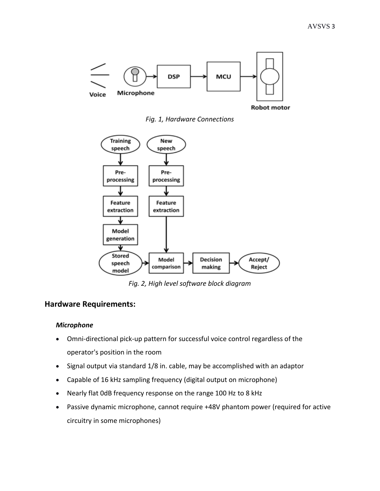

*Fig. 1, Hardware Connections*



*Fig. 2, High level software block diagram*

## **Hardware Requirements:**

#### *Microphone*

- Omni-directional pick-up pattern for successful voice control regardless of the operator's position in the room
- Signal output via standard 1/8 in. cable, may be accomplished with an adaptor
- Capable of 16 kHz sampling frequency (digital output on microphone)
- Nearly flat 0dB frequency response on the range 100 Hz to 8 kHz
- Passive dynamic microphone, cannot require +48V phantom power (required for active circuitry in some microphones)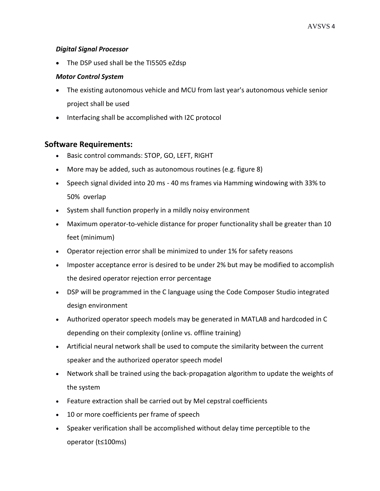#### *Digital Signal Processor*

• The DSP used shall be the TI5505 eZdsp

#### *Motor Control System*

- The existing autonomous vehicle and MCU from last year's autonomous vehicle senior project shall be used
- Interfacing shall be accomplished with I2C protocol

### **Software Requirements:**

- Basic control commands: STOP, GO, LEFT, RIGHT
- More may be added, such as autonomous routines (e.g. figure 8)
- Speech signal divided into 20 ms 40 ms frames via Hamming windowing with 33% to 50% overlap
- System shall function properly in a mildly noisy environment
- Maximum operator-to-vehicle distance for proper functionality shall be greater than 10 feet (minimum)
- Operator rejection error shall be minimized to under 1% for safety reasons
- Imposter acceptance error is desired to be under 2% but may be modified to accomplish the desired operator rejection error percentage
- DSP will be programmed in the C language using the Code Composer Studio integrated design environment
- Authorized operator speech models may be generated in MATLAB and hardcoded in C depending on their complexity (online vs. offline training)
- Artificial neural network shall be used to compute the similarity between the current speaker and the authorized operator speech model
- Network shall be trained using the back-propagation algorithm to update the weights of the system
- Feature extraction shall be carried out by Mel cepstral coefficients
- 10 or more coefficients per frame of speech
- Speaker verification shall be accomplished without delay time perceptible to the operator (t≤100ms)